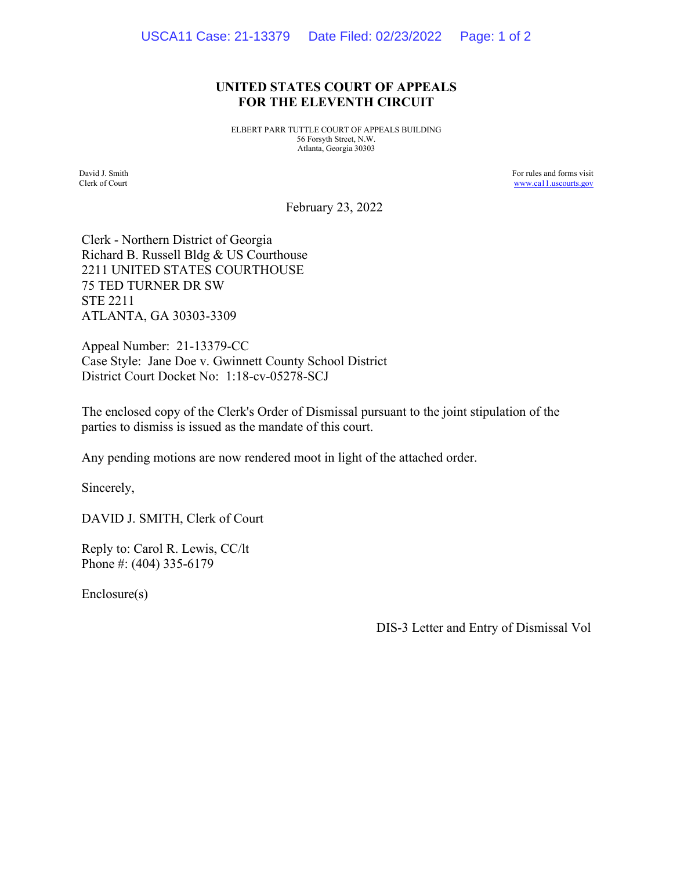## **UNITED STATES COURT OF APPEALS FOR THE ELEVENTH CIRCUIT**

ELBERT PARR TUTTLE COURT OF APPEALS BUILDING 56 Forsyth Street, N.W. Atlanta, Georgia 30303

David J. Smith Clerk of Court For rules and forms visit www.ca11.uscourts.gov

February 23, 2022

Clerk - Northern District of Georgia Richard B. Russell Bldg & US Courthouse 2211 UNITED STATES COURTHOUSE 75 TED TURNER DR SW STE 2211 ATLANTA, GA 30303-3309

Appeal Number: 21-13379-CC Case Style: Jane Doe v. Gwinnett County School District District Court Docket No: 1:18-cv-05278-SCJ

The enclosed copy of the Clerk's Order of Dismissal pursuant to the joint stipulation of the parties to dismiss is issued as the mandate of this court.

Any pending motions are now rendered moot in light of the attached order.

Sincerely,

DAVID J. SMITH, Clerk of Court

Reply to: Carol R. Lewis, CC/lt Phone #: (404) 335-6179

Enclosure(s)

DIS-3 Letter and Entry of Dismissal Vol